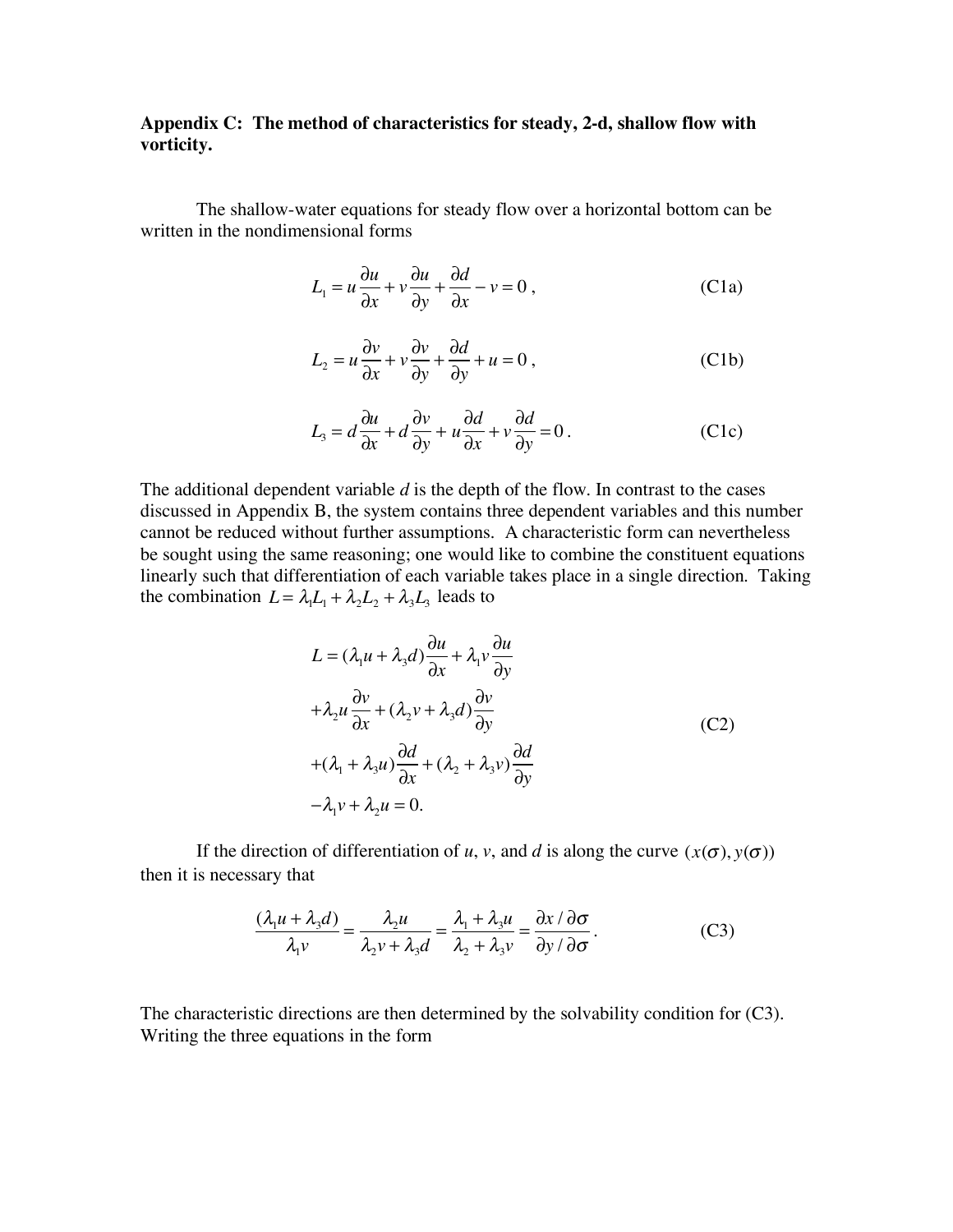## **Appendix C: The method of characteristics for steady, 2-d, shallow flow with vorticity.**

The shallow-water equations for steady flow over a horizontal bottom can be written in the nondimensional forms

$$
L_1 = u\frac{\partial u}{\partial x} + v\frac{\partial u}{\partial y} + \frac{\partial d}{\partial x} - v = 0,
$$
 (C1a)

$$
L_2 = u \frac{\partial v}{\partial x} + v \frac{\partial v}{\partial y} + \frac{\partial d}{\partial y} + u = 0,
$$
 (C1b)

$$
L_3 = d\frac{\partial u}{\partial x} + d\frac{\partial v}{\partial y} + u\frac{\partial d}{\partial x} + v\frac{\partial d}{\partial y} = 0.
$$
 (C1c)

The additional dependent variable *d* is the depth of the flow. In contrast to the cases discussed in Appendix B, the system contains three dependent variables and this number cannot be reduced without further assumptions. A characteristic form can nevertheless be sought using the same reasoning; one would like to combine the constituent equations linearly such that differentiation of each variable takes place in a single direction. Taking the combination  $L = \lambda_1 L_1 + \lambda_2 L_2 + \lambda_3 L_3$  leads to

$$
L = (\lambda_1 u + \lambda_3 d) \frac{\partial u}{\partial x} + \lambda_1 v \frac{\partial u}{\partial y}
$$
  
+  $\lambda_2 u \frac{\partial v}{\partial x} + (\lambda_2 v + \lambda_3 d) \frac{\partial v}{\partial y}$   
+  $(\lambda_1 + \lambda_3 u) \frac{\partial d}{\partial x} + (\lambda_2 + \lambda_3 v) \frac{\partial d}{\partial y}$   
-  $\lambda_1 v + \lambda_2 u = 0$ . (C2)

If the direction of differentiation of *u*, *v*, and *d* is along the curve  $(x(\sigma), y(\sigma))$ then it is necessary that

$$
\frac{(\lambda_1 u + \lambda_3 d)}{\lambda_1 v} = \frac{\lambda_2 u}{\lambda_2 v + \lambda_3 d} = \frac{\lambda_1 + \lambda_3 u}{\lambda_2 + \lambda_3 v} = \frac{\partial x / \partial \sigma}{\partial y / \partial \sigma}.
$$
 (C3)

The characteristic directions are then determined by the solvability condition for (C3). Writing the three equations in the form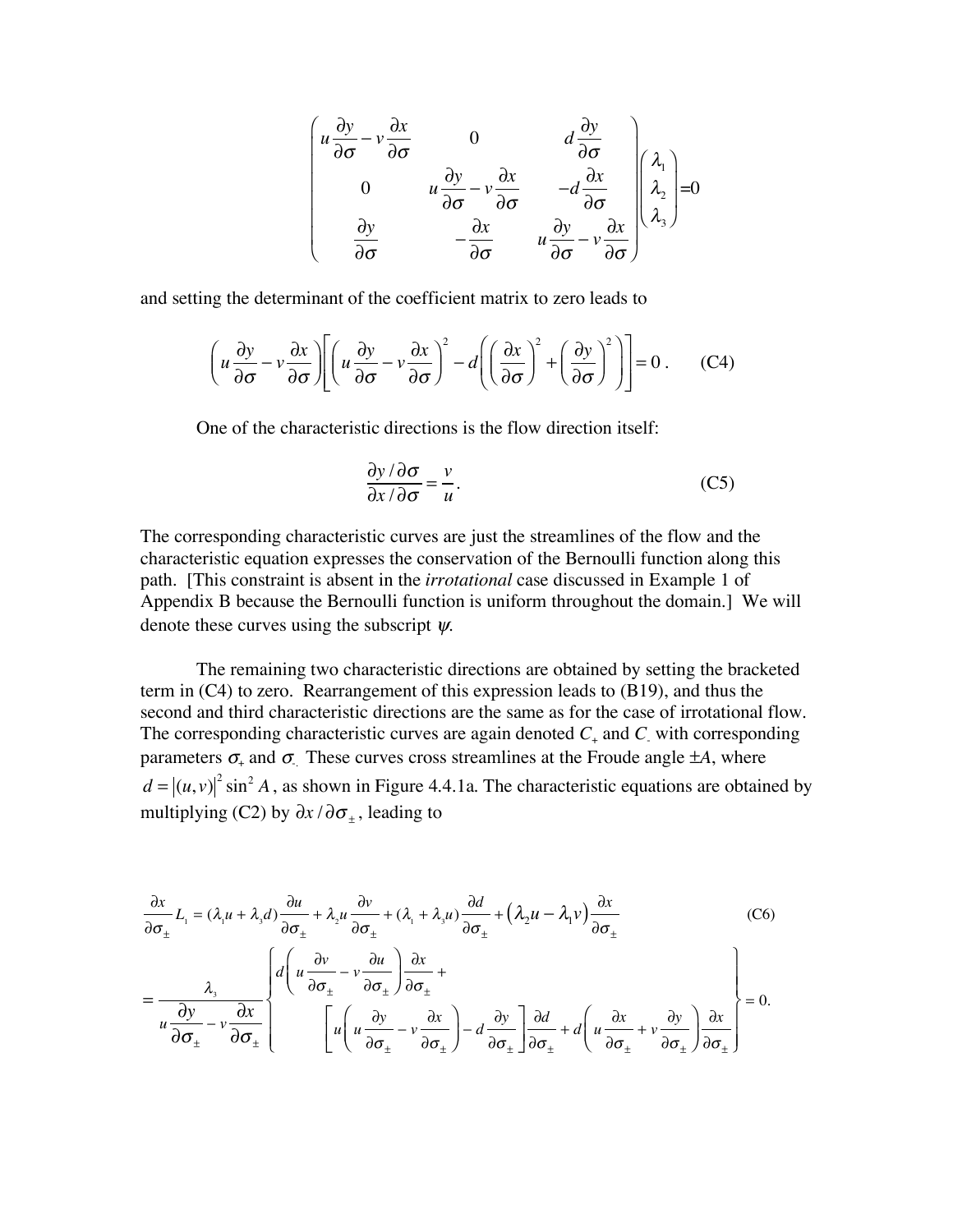$$
\begin{pmatrix}\nu \frac{\partial y}{\partial \sigma} - \nu \frac{\partial x}{\partial \sigma} & 0 & d \frac{\partial y}{\partial \sigma} \\
0 & u \frac{\partial y}{\partial \sigma} - \nu \frac{\partial x}{\partial \sigma} & -d \frac{\partial x}{\partial \sigma} \\
\frac{\partial y}{\partial \sigma} & -\frac{\partial x}{\partial \sigma} & u \frac{\partial y}{\partial \sigma} - \nu \frac{\partial x}{\partial \sigma}\n\end{pmatrix}\n\begin{pmatrix}\n\lambda_1 \\
\lambda_2 \\
\lambda_3\n\end{pmatrix} = 0
$$

and setting the determinant of the coefficient matrix to zero leads to

$$
\left(u\frac{\partial y}{\partial \sigma} - v\frac{\partial x}{\partial \sigma}\right) \left[\left(u\frac{\partial y}{\partial \sigma} - v\frac{\partial x}{\partial \sigma}\right)^2 - d\left(\left(\frac{\partial x}{\partial \sigma}\right)^2 + \left(\frac{\partial y}{\partial \sigma}\right)^2\right)\right] = 0\,. \tag{C4}
$$

One of the characteristic directions is the flow direction itself:

$$
\frac{\partial y/\partial \sigma}{\partial x/\partial \sigma} = \frac{v}{u}.
$$
 (C5)

The corresponding characteristic curves are just the streamlines of the flow and the characteristic equation expresses the conservation of the Bernoulli function along this path. [This constraint is absent in the *irrotational* case discussed in Example 1 of Appendix B because the Bernoulli function is uniform throughout the domain.] We will denote these curves using the subscript ψ*.*

The remaining two characteristic directions are obtained by setting the bracketed term in (C4) to zero. Rearrangement of this expression leads to (B19), and thus the second and third characteristic directions are the same as for the case of irrotational flow. The corresponding characteristic curves are again denoted  $C_{+}$  and  $C_{-}$  with corresponding parameters  $\sigma_{+}$  and  $\sigma_{-}$ . These curves cross streamlines at the Froude angle  $\pm A$ , where  $d = |(u, v)|^2 \sin^2 A$ , as shown in Figure 4.4.1a. The characteristic equations are obtained by multiplying (C2) by  $\partial x / \partial \sigma_{\pm}$ , leading to

$$
\frac{\partial x}{\partial \sigma_{\pm}} L_{1} = (\lambda_{1} u + \lambda_{3} d) \frac{\partial u}{\partial \sigma_{\pm}} + \lambda_{2} u \frac{\partial v}{\partial \sigma_{\pm}} + (\lambda_{1} + \lambda_{3} u) \frac{\partial d}{\partial \sigma_{\pm}} + (\lambda_{2} u - \lambda_{1} v) \frac{\partial x}{\partial \sigma_{\pm}}
$$
\n
$$
= \frac{\lambda_{3}}{u \frac{\partial y}{\partial \sigma_{\pm}} - v \frac{\partial x}{\partial \sigma_{\pm}}} \left\{ d \left( u \frac{\partial v}{\partial \sigma_{\pm}} - v \frac{\partial u}{\partial \sigma_{\pm}} \right) \frac{\partial x}{\partial \sigma_{\pm}} + \left( u \frac{\partial y}{\partial \sigma_{\pm}} - v \frac{\partial x}{\partial \sigma_{\pm}} \right) - d \frac{\partial y}{\partial \sigma_{\pm}} \right\} \frac{\partial d}{\partial \sigma_{\pm}} + d \left( u \frac{\partial x}{\partial \sigma_{\pm}} + v \frac{\partial y}{\partial \sigma_{\pm}} \right) \frac{\partial x}{\partial \sigma_{\pm}} = 0.
$$
\n(C6)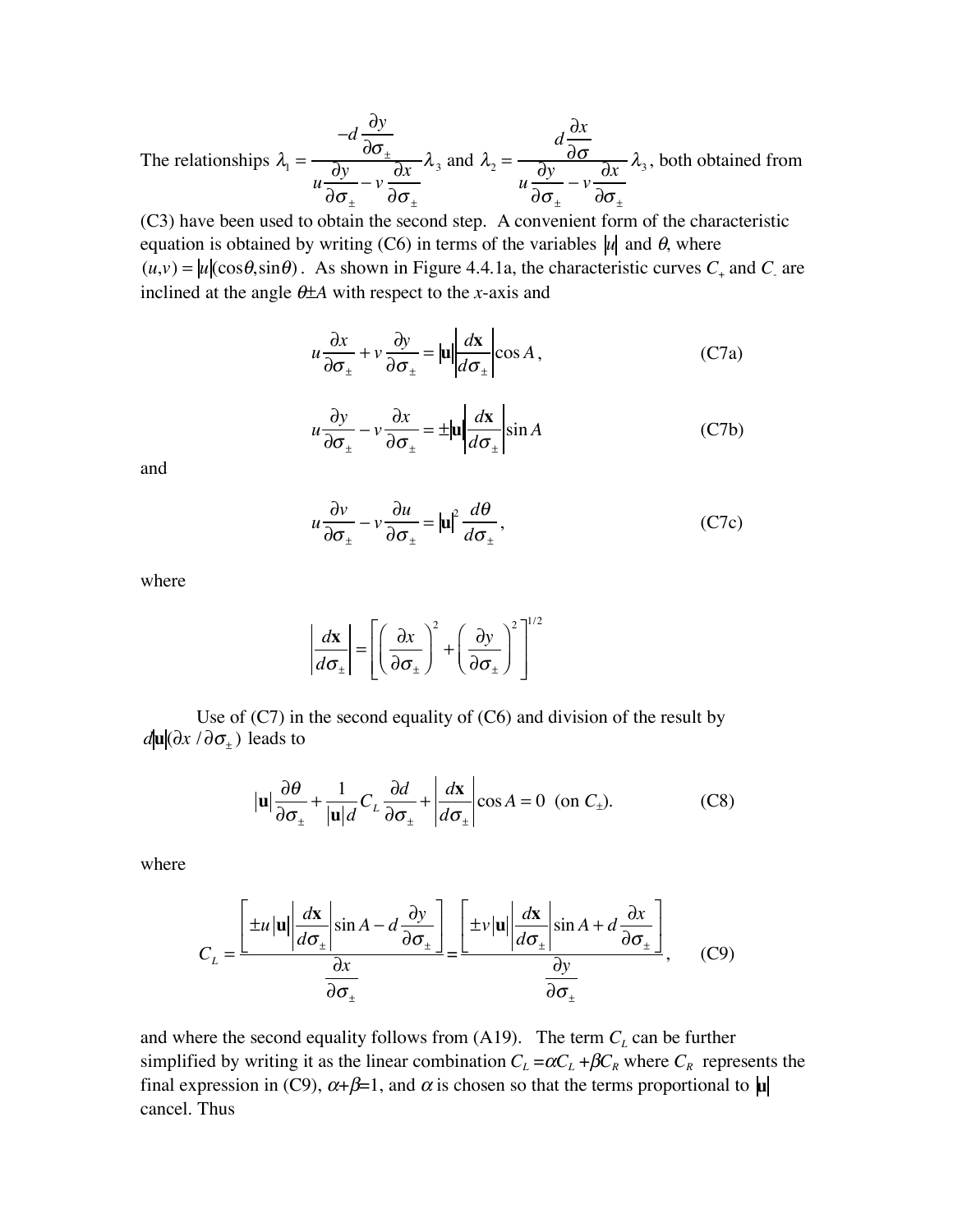The relationships  $\lambda_1$  =  $-d\frac{\partial y}{\partial x}$  $\partial \sigma_{_{\pm}}$ *u*  $\partial y$  $\partial\sigma_{_{\pm}}$  $-\nu$  $\partial x$  $\partial\sigma_{_{\pm}}$  $\lambda_3$  and  $\lambda_2 =$  $d\frac{\partial x}{\partial x}$  $\partial\sigma$ *u*  $\partial y$  $\partial\sigma_{_{\pm}}$  $-\nu$  $\partial x$  $\partial \sigma_{_{\pm}}$  $\lambda_3$ , both obtained from

(C3) have been used to obtain the second step. A convenient form of the characteristic equation is obtained by writing  $(C6)$  in terms of the variables  $|u|$  and  $\theta$ , where  $(u,v) = |u|(\cos\theta, \sin\theta)$ . As shown in Figure 4.4.1a, the characteristic curves  $C_+$  and  $C_-$  are inclined at the angle <sup>θ</sup>±*A* with respect to the *x*-axis and

$$
u\frac{\partial x}{\partial \sigma_{\pm}} + v\frac{\partial y}{\partial \sigma_{\pm}} = |\mathbf{u}| \frac{d\mathbf{x}}{d\sigma_{\pm}} \cos A, \qquad (C7a)
$$

$$
u\frac{\partial y}{\partial \sigma_{\pm}} - v\frac{\partial x}{\partial \sigma_{\pm}} = \pm |\mathbf{u}| \frac{d\mathbf{x}}{d\sigma_{\pm}} \sin A
$$
 (C7b)

and

$$
u\frac{\partial v}{\partial \sigma_{\pm}} - v\frac{\partial u}{\partial \sigma_{\pm}} = |\mathbf{u}|^2 \frac{d\theta}{d\sigma_{\pm}},
$$
 (C7c)

where

$$
\left| \frac{d\mathbf{x}}{d\sigma_{\pm}} \right| = \left[ \left( \frac{\partial x}{\partial \sigma_{\pm}} \right)^2 + \left( \frac{\partial y}{\partial \sigma_{\pm}} \right)^2 \right]^{1/2}
$$

Use of (C7) in the second equality of (C6) and division of the result by  $d$ **u** $(\partial x / \partial \sigma_{\pm})$  leads to

$$
|\mathbf{u}| \frac{\partial \theta}{\partial \sigma_{\pm}} + \frac{1}{|\mathbf{u}| d} C_L \frac{\partial d}{\partial \sigma_{\pm}} + \left| \frac{d\mathbf{x}}{d\sigma_{\pm}} \right| \cos A = 0 \text{ (on } C_{\pm}).
$$
 (C8)

where

$$
C_{L} = \frac{\left[\pm u \left| \mathbf{u} \right| \left| \frac{d\mathbf{x}}{d\sigma_{\pm}} \right| \sin A - d \frac{\partial y}{\partial \sigma_{\pm}} \right]}{\frac{\partial x}{\partial \sigma_{\pm}}} = \frac{\left[\pm v \left| \mathbf{u} \right| \left| \frac{d\mathbf{x}}{d\sigma_{\pm}} \right| \sin A + d \frac{\partial x}{\partial \sigma_{\pm}} \right]}{\frac{\partial y}{\partial \sigma_{\pm}}}, \quad (C9)
$$

and where the second equality follows from  $(A19)$ . The term  $C<sub>L</sub>$  can be further simplified by writing it as the linear combination  $C_L = \alpha C_L + \beta C_R$  where  $C_R$  represents the final expression in (C9),  $\alpha+\beta=1$ , and  $\alpha$  is chosen so that the terms proportional to  $\mu$ cancel. Thus